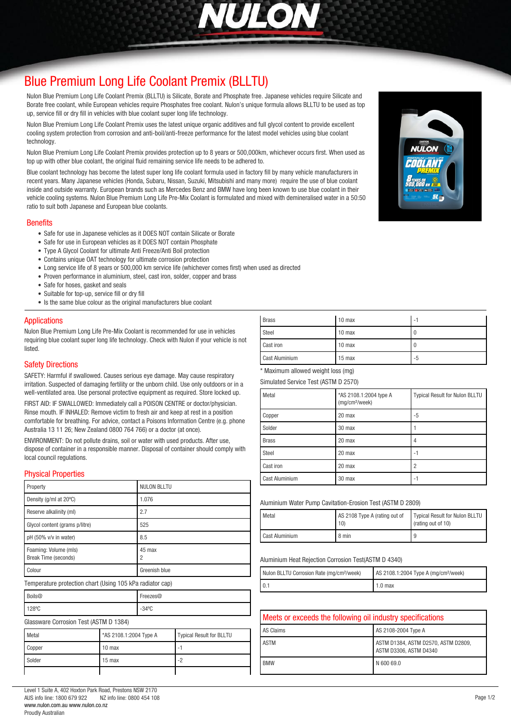

# *[Blue Premium Long Life Coolant Premix \(BLLTU\)](http://www.nulon.com.au)*

*Nulon Blue Premium Long Life Coolant Premix (BLLTU) is Silicate, Borate and Phosphate free. Japanese vehicles require Silicate and Borate free coolant, while European vehicles require Phosphates free coolant. Nulon's unique formula allows BLLTU to be used as top up, service fill or dry fill in vehicles with blue coolant super long life technology.*

*Nulon Blue Premium Long Life Coolant Premix uses the latest unique organic additives and full glycol content to provide excellent cooling system protection from corrosion and anti-boil/anti-freeze performance for the latest model vehicles using blue coolant technology.*

*Nulon Blue Premium Long Life Coolant Premix provides protection up to 8 years or 500,000km, whichever occurs first. When used as top up with other blue coolant, the original fluid remaining service life needs to be adhered to.*

*Blue coolant technology has become the latest super long life coolant formula used in factory fill by many vehicle manufacturers in recent years. Many Japanese vehicles (Honda, Subaru, Nissan, Suzuki, Mitsubishi and many more) require the use of blue coolant inside and outside warranty. European brands such as Mercedes Benz and BMW have long been known to use blue coolant in their vehicle cooling systems. Nulon Blue Premium Long Life Pre-Mix Coolant is formulated and mixed with demineralised water in a 50:50 ratio to suit both Japanese and European blue coolants.*

#### *Benefits*

- *Safe for use in Japanese vehicles as it DOES NOT contain Silicate or Borate*
- *Safe for use in European vehicles as it DOES NOT contain Phosphate*
- *Type A Glycol Coolant for ultimate Anti Freeze/Anti Boil protection*
- *Contains unique OAT technology for ultimate corrosion protection*
- *Long service life of 8 years or 500,000 km service life (whichever comes first) when used as directed*
- *Proven performance in aluminium, steel, cast iron, solder, copper and brass*
- *Safe for hoses, gasket and seals*
- *Suitable for top-up, service fill or dry fill*
- *Is the same blue colour as the original manufacturers blue coolant*

#### *Applications*

*Nulon Blue Premium Long Life Pre-Mix Coolant is recommended for use in vehicles requiring blue coolant super long life technology. Check with Nulon if your vehicle is not listed.*

#### *Safety Directions*

*SAFETY: Harmful if swallowed. Causes serious eye damage. May cause respiratory irritation. Suspected of damaging fertility or the unborn child. Use only outdoors or in a well-ventilated area. Use personal protective equipment as required. Store locked up.*

*FIRST AID: IF SWALLOWED: Immediately call a POISON CENTRE or doctor/physician. Rinse mouth. IF INHALED: Remove victim to fresh air and keep at rest in a position comfortable for breathing. For advice, contact a Poisons Information Centre (e.g. phone Australia 13 11 26; New Zealand 0800 764 766) or a doctor (at once).*

*ENVIRONMENT: Do not pollute drains, soil or water with used products. After use, dispose of container in a responsible manner. Disposal of container should comply with local council regulations.*

### *Physical Properties*

| Property                                                                                                             | <b>NULON BLLTU</b> |  |
|----------------------------------------------------------------------------------------------------------------------|--------------------|--|
| Density (g/ml at 20°C)                                                                                               | 1.076              |  |
| Reserve alkalinity (ml)                                                                                              | 2.7                |  |
| Glycol content (grams p/litre)                                                                                       | 525                |  |
| pH (50% v/v in water)                                                                                                | 8.5                |  |
| Foaming: Volume (mls)<br>Break Time (seconds)                                                                        | 45 max<br>2        |  |
| Colour                                                                                                               | Greenish blue      |  |
| Temperature protection chart (Using 105 kPa radiator cap)                                                            |                    |  |
| Boils@                                                                                                               | Freezes@           |  |
| 128°C                                                                                                                | $-34$ °C           |  |
| $P_{\text{leconvave}}$ $P_{\text{curvature}}$ $T_{\text{ext}}$ $\left(\text{ACTM} \right)$ $\uparrow$ 100 $\uparrow$ |                    |  |

| Glassware Corrosion Test (ASTM D 1384) |  |
|----------------------------------------|--|
|----------------------------------------|--|

| Metal  | *AS 2108.1:2004 Type A | <b>Typical Result for BLLTU</b> |
|--------|------------------------|---------------------------------|
| Copper | $10$ max               | -                               |
| Solder | $15$ max               | -2                              |
|        |                        |                                 |

| <b>Brass</b>   | $10$ max | ٠I |
|----------------|----------|----|
| Steel          | 10 max   |    |
| Cast iron      | 10 max   |    |
| Cast Aluminium | $15$ max | -5 |

*\* Maximum allowed weight loss (mg)*

*Simulated Service Test (ASTM D 2570)*

| Metal                 | *AS 2108.1:2004 type A<br>(mg/cm <sup>2</sup> /week) | Typical Result for Nulon BLLTU |
|-----------------------|------------------------------------------------------|--------------------------------|
| Copper                | 20 max                                               | -5                             |
| Solder                | 30 max                                               |                                |
| <b>Brass</b>          | 20 max                                               |                                |
| Steel                 | 20 max                                               | -1                             |
| Cast iron             | 20 max                                               |                                |
| <b>Cast Aluminium</b> | 30 max                                               | -1                             |

*Aluminium Water Pump Cavitation-Erosion Test (ASTM D 2809)*

| <b>Metal</b>          | AS 2108 Type A (rating out of Typical Result for Nulon BLLTU | (rating out of 10) |
|-----------------------|--------------------------------------------------------------|--------------------|
| <b>Cast Aluminium</b> | 8 min                                                        |                    |

#### *Aluminium Heat Rejection Corrosion Test(ASTM D 4340)*

| Nulon BLLTU Corrosion Rate (mg/cm <sup>2</sup> /week) | AS 2108.1:2004 Type A (mg/cm <sup>2</sup> /week) |
|-------------------------------------------------------|--------------------------------------------------|
|                                                       | 1.0 <sub>max</sub>                               |

| Meets or exceeds the following oil industry specifications |                                                               |
|------------------------------------------------------------|---------------------------------------------------------------|
| AS Claims                                                  | AS 2108-2004 Type A                                           |
| <b>ASTM</b>                                                | ASTM D1384, ASTM D2570, ASTM D2809,<br>ASTM D3306, ASTM D4340 |
| <b>BMW</b>                                                 | N 600 69.0                                                    |